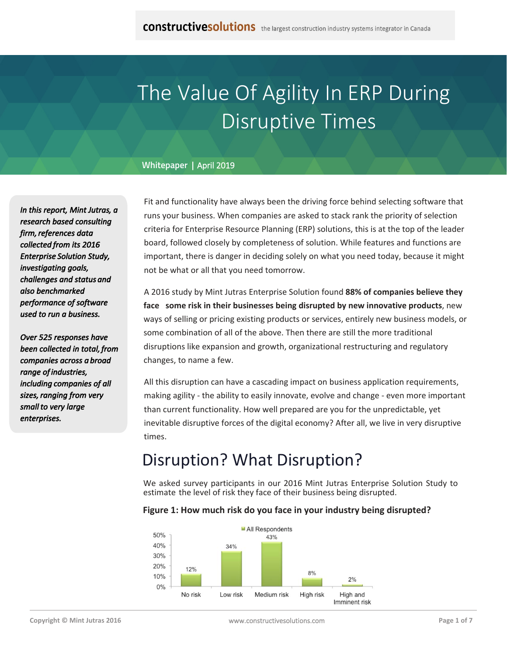# The Value Of Agility In ERP During Disruptive Times

#### **Whitepaper |** April 2019

*In this report, Mint Jutras, a research based consulting firm, references data collected from its 2016 Enterprise Solution Study, investigating goals, challenges and status and also benchmarked performance of software used to run a business.*

*Over 525 responses have been collected in total, from companies across a broad range of industries, including companies of all sizes, ranging from very small to very large enterprises.*

Fit and functionality have always been the driving force behind selecting software that runs your business. When companies are asked to stack rank the priority of selection criteria for Enterprise Resource Planning (ERP) solutions, this is at the top of the leader board, followed closely by completeness of solution. While features and functions are important, there is danger in deciding solely on what you need today, because it might not be what or all that you need tomorrow.

A 2016 study by Mint Jutras Enterprise Solution found **88% of companies believe they face some risk in their businesses being disrupted by new innovative products**, new ways of selling or pricing existing products or services, entirely new business models, or some combination of all of the above. Then there are still the more traditional disruptions like expansion and growth, organizational restructuring and regulatory changes, to name a few.

All this disruption can have a cascading impact on business application requirements, making agility - the ability to easily innovate, evolve and change - even more important than current functionality. How well prepared are you for the unpredictable, yet inevitable disruptive forces of the digital economy? After all, we live in very disruptive times.

## Disruption? What Disruption?

We asked survey participants in our 2016 Mint Jutras Enterprise Solution Study to estimate the level of risk they face of their business being disrupted.

#### **Figure 1: How much risk do you face in your industry being disrupted?**

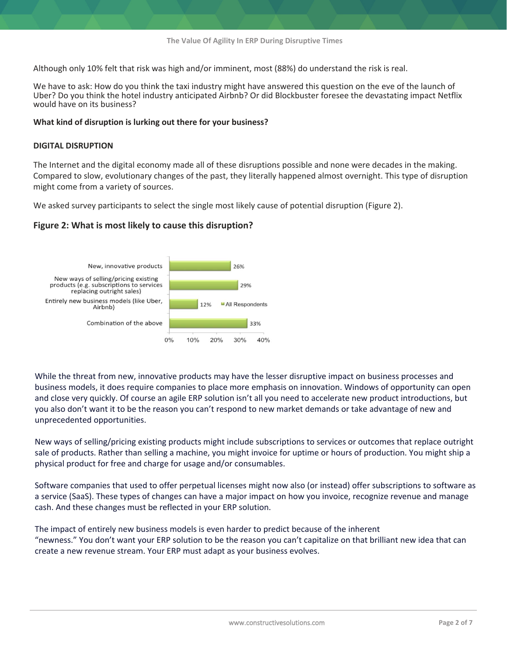Although only 10% felt that risk was high and/or imminent, most (88%) do understand the risk is real.

We have to ask: How do you think the taxi industry might have answered this question on the eve of the launch of Uber? Do you think the hotel industry anticipated Airbnb? Or did Blockbuster foresee the devastating impact Netflix would have on its business?

#### **What kind of disruption is lurking out there for your business?**

#### **DIGITAL DISRUPTION**

The Internet and the digital economy made all of these disruptions possible and none were decades in the making. Compared to slow, evolutionary changes of the past, they literally happened almost overnight. This type of disruption might come from a variety of sources.

We asked survey participants to select the single most likely cause of potential disruption (Figure 2).

#### **Figure 2: What is most likely to cause this disruption?**



While the threat from new, innovative products may have the lesser disruptive impact on business processes and business models, it does require companies to place more emphasis on innovation. Windows of opportunity can open and close very quickly. Of course an agile ERP solution isn't all you need to accelerate new product introductions, but you also don't want it to be the reason you can't respond to new market demands or take advantage of new and unprecedented opportunities.

New ways of selling/pricing existing products might include subscriptions to services or outcomes that replace outright sale of products. Rather than selling a machine, you might invoice for uptime or hours of production. You might ship a physical product for free and charge for usage and/or consumables.

Software companies that used to offer perpetual licenses might now also (or instead) offer subscriptions to software as a service (SaaS). These types of changes can have a major impact on how you invoice, recognize revenue and manage cash. And these changes must be reflected in your ERP solution.

The impact of entirely new business models is even harder to predict because of the inherent "newness." You don't want your ERP solution to be the reason you can't capitalize on that brilliant new idea that can create a new revenue stream. Your ERP must adapt as your business evolves.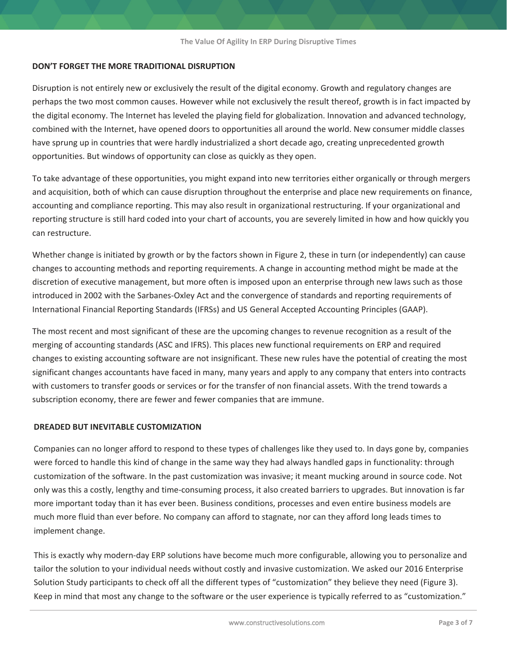#### **DON'T FORGET THE MORE TRADITIONAL DISRUPTION**

Disruption is not entirely new or exclusively the result of the digital economy. Growth and regulatory changes are perhaps the two most common causes. However while not exclusively the result thereof, growth is in fact impacted by the digital economy. The Internet has leveled the playing field for globalization. Innovation and advanced technology, combined with the Internet, have opened doors to opportunities all around the world. New consumer middle classes have sprung up in countries that were hardly industrialized a short decade ago, creating unprecedented growth opportunities. But windows of opportunity can close as quickly as they open.

To take advantage of these opportunities, you might expand into new territories either organically or through mergers and acquisition, both of which can cause disruption throughout the enterprise and place new requirements on finance, accounting and compliance reporting. This may also result in organizational restructuring. If your organizational and reporting structure is still hard coded into your chart of accounts, you are severely limited in how and how quickly you can restructure.

Whether change is initiated by growth or by the factors shown in Figure 2, these in turn (or independently) can cause changes to accounting methods and reporting requirements. A change in accounting method might be made at the discretion of executive management, but more often is imposed upon an enterprise through new laws such as those introduced in 2002 with the Sarbanes-Oxley Act and the convergence of standards and reporting requirements of International Financial Reporting Standards (IFRSs) and US General Accepted Accounting Principles (GAAP).

The most recent and most significant of these are the upcoming changes to revenue recognition as a result of the merging of accounting standards (ASC and IFRS). This places new functional requirements on ERP and required changes to existing accounting software are not insignificant. These new rules have the potential of creating the most significant changes accountants have faced in many, many years and apply to any company that enters into contracts with customers to transfer goods or services or for the transfer of non financial assets. With the trend towards a subscription economy, there are fewer and fewer companies that are immune.

#### **DREADED BUT INEVITABLE CUSTOMIZATION**

Companies can no longer afford to respond to these types of challenges like they used to. In days gone by, companies were forced to handle this kind of change in the same way they had always handled gaps in functionality: through customization of the software. In the past customization was invasive; it meant mucking around in source code. Not only was this a costly, lengthy and time-consuming process, it also created barriers to upgrades. But innovation is far more important today than it has ever been. Business conditions, processes and even entire business models are much more fluid than ever before. No company can afford to stagnate, nor can they afford long leads times to implement change.

This is exactly why modern-day ERP solutions have become much more configurable, allowing you to personalize and tailor the solution to your individual needs without costly and invasive customization. We asked our 2016 Enterprise Solution Study participants to check off all the different types of "customization" they believe they need (Figure 3). Keep in mind that most any change to the software or the user experience is typically referred to as "customization."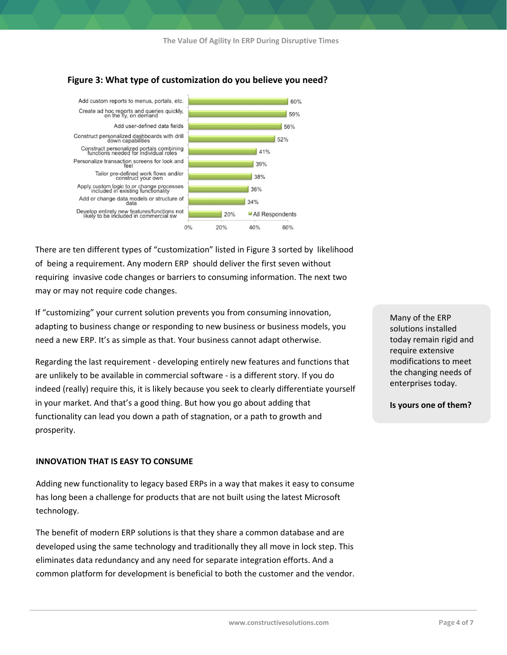

#### **Figure 3: What type of customization do you believe you need?**

There are ten different types of "customization" listed in Figure 3 sorted by likelihood of being a requirement. Any modern ERP should deliver the first seven without requiring invasive code changes or barriers to consuming information. The next two may or may not require code changes.

If "customizing" your current solution prevents you from consuming innovation, adapting to business change or responding to new business or business models, you need a new ERP. It's as simple as that. Your business cannot adapt otherwise.

Regarding the last requirement - developing entirely new features and functions that are unlikely to be available in commercial software - is a different story. If you do indeed (really) require this, it is likely because you seek to clearly differentiate yourself in your market. And that's a good thing. But how you go about adding that functionality can lead you down a path of stagnation, or a path to growth and prosperity.

#### **INNOVATION THAT IS EASY TO CONSUME**

Adding new functionality to legacy based ERPs in a way that makes it easy to consume has long been a challenge for products that are not built using the latest Microsoft technology.

The benefit of modern ERP solutions is that they share a common database and are developed using the same technology and traditionally they all move in lock step. This eliminates data redundancy and any need for separate integration efforts. And a common platform for development is beneficial to both the customer and the vendor. Many of the ERP solutions installed today remain rigid and require extensive modifications to meet the changing needs of enterprises today.

**Is yours one of them?**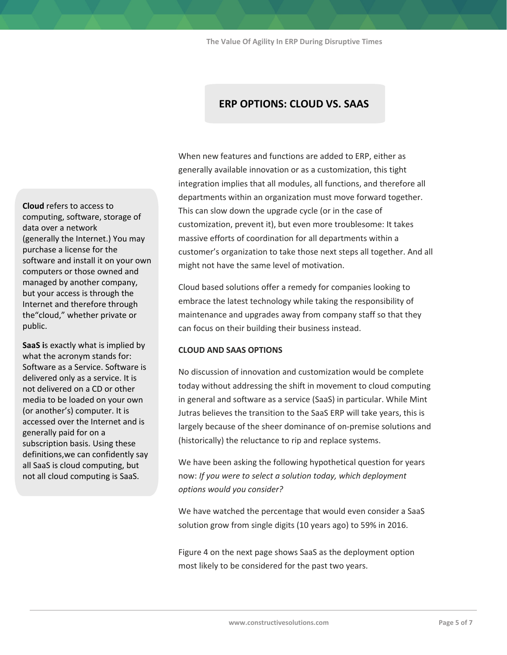**The Value Of Agility In ERP During Disruptive Times**

### **ERP OPTIONS: CLOUD VS. SAAS**

**Cloud** refers to access to computing, software, storage of data over a network (generally the Internet.) You may purchase a license for the software and install it on your own computers or those owned and managed by another company, but your access is through the Internet and therefore through the"cloud," whether private or public.

**SaaS i**s exactly what is implied by what the acronym stands for: Software as a Service. Software is delivered only as a service. It is not delivered on a CD or other media to be loaded on your own (or another's) computer. It is accessed over the Internet and is generally paid for on a subscription basis. Using these definitions,we can confidently say all SaaS is cloud computing, but not all cloud computing is SaaS.

When new features and functions are added to ERP, either as generally available innovation or as a customization, this tight integration implies that all modules, all functions, and therefore all departments within an organization must move forward together. This can slow down the upgrade cycle (or in the case of customization, prevent it), but even more troublesome: It takes massive efforts of coordination for all departments within a customer's organization to take those next steps all together. And all might not have the same level of motivation.

Cloud based solutions offer a remedy for companies looking to embrace the latest technology while taking the responsibility of maintenance and upgrades away from company staff so that they can focus on their building their business instead.

#### **CLOUD AND SAAS OPTIONS**

No discussion of innovation and customization would be complete today without addressing the shift in movement to cloud computing in general and software as a service (SaaS) in particular. While Mint Jutras believes the transition to the SaaS ERP will take years, this is largely because of the sheer dominance of on-premise solutions and (historically) the reluctance to rip and replace systems.

We have been asking the following hypothetical question for years now: *If you were to select a solution today, which deployment options would you consider?* 

We have watched the percentage that would even consider a SaaS solution grow from single digits (10 years ago) to 59% in 2016.

Figure 4 on the next page shows SaaS as the deployment option most likely to be considered for the past two years.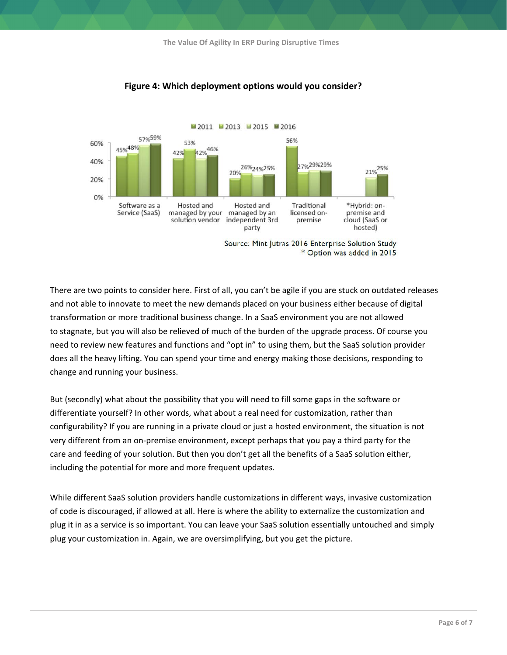

#### **Figure 4: Which deployment options would you consider?**

Source: Mint Jutras 2016 Enterprise Solution Study \* Option was added in 2015

There are two points to consider here. First of all, you can't be agile if you are stuck on outdated releases and not able to innovate to meet the new demands placed on your business either because of digital transformation or more traditional business change. In a SaaS environment you are not allowed to stagnate, but you will also be relieved of much of the burden of the upgrade process. Of course you need to review new features and functions and "opt in" to using them, but the SaaS solution provider does all the heavy lifting. You can spend your time and energy making those decisions, responding to change and running your business.

But (secondly) what about the possibility that you will need to fill some gaps in the software or differentiate yourself? In other words, what about a real need for customization, rather than configurability? If you are running in a private cloud or just a hosted environment, the situation is not very different from an on-premise environment, except perhaps that you pay a third party for the care and feeding of your solution. But then you don't get all the benefits of a SaaS solution either, including the potential for more and more frequent updates.

While different SaaS solution providers handle customizations in different ways, invasive customization of code is discouraged, if allowed at all. Here is where the ability to externalize the customization and plug it in as a service is so important. You can leave your SaaS solution essentially untouched and simply plug your customization in. Again, we are oversimplifying, but you get the picture.